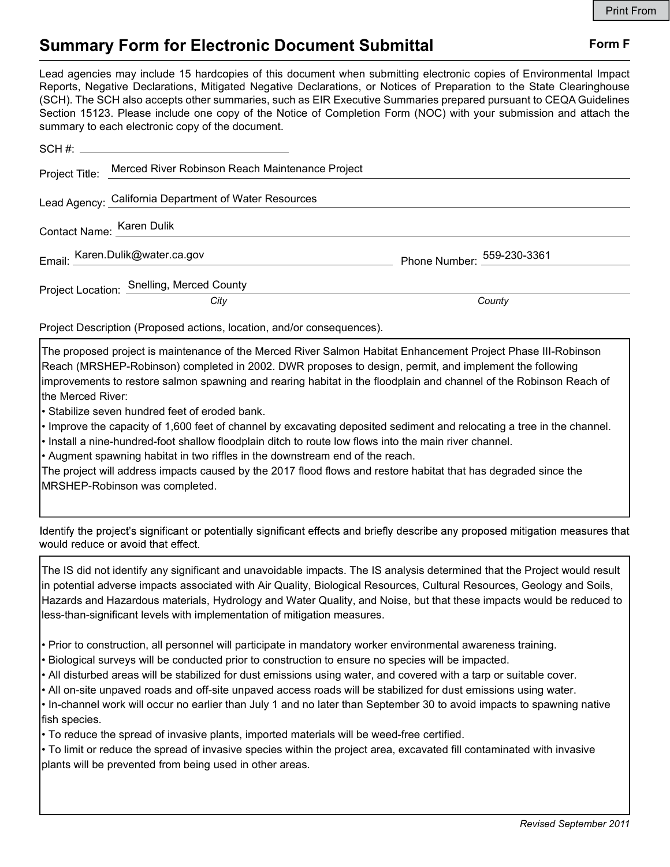## Summary Form for Electronic Document Submittal Form F

Lead agencies may include 15 hardcopies of this document when submitting electronic copies of Environmental Impact Reports, Negative Declarations, Mitigated Negative Declarations, or Notices of Preparation to the State Clearinghouse (SCH). The SCH also accepts other summaries, such as EIR Executive Summaries prepared pursuant to CEQA Guidelines Section 15123. Please include one copy of the Notice of Completion Form (NOC) with your submission and attach the summary to each electronic copy of the document.

|                           | Project Title: Merced River Robinson Reach Maintenance Project |                            |
|---------------------------|----------------------------------------------------------------|----------------------------|
|                           | Lead Agency: California Department of Water Resources          |                            |
| Contact Name: Karen Dulik |                                                                |                            |
|                           | Email: Karen.Dulik@water.ca.gov                                | Phone Number: 559-230-3361 |
|                           | Project Location: Snelling, Merced County                      |                            |
|                           | City                                                           | County                     |

Project Description (Proposed actions, location, and/or consequences).

The proposed project is maintenance of the Merced River Salmon Habitat Enhancement Project Phase III-Robinson Reach (MRSHEP-Robinson) completed in 2002. DWR proposes to design, permit, and implement the following improvements to restore salmon spawning and rearing habitat in the floodplain and channel of the Robinson Reach of the Merced River:

• Stabilize seven hundred feet of eroded bank.

• Improve the capacity of 1,600 feet of channel by excavating deposited sediment and relocating a tree in the channel.

• Install a nine-hundred-foot shallow floodplain ditch to route low flows into the main river channel.

• Augment spawning habitat in two riffles in the downstream end of the reach.

The project will address impacts caused by the 2017 flood flows and restore habitat that has degraded since the MRSHEP-Robinson was completed.

Identify the project's significant or potentially significant effects and briefly describe any proposed mitigation measures that would reduce or avoid that effect.

The IS did not identify any significant and unavoidable impacts. The IS analysis determined that the Project would result in potential adverse impacts associated with Air Quality, Biological Resources, Cultural Resources, Geology and Soils, Hazards and Hazardous materials, Hydrology and Water Quality, and Noise, but that these impacts would be reduced to less-than-significant levels with implementation of mitigation measures.

• Prior to construction, all personnel will participate in mandatory worker environmental awareness training.

- Biological surveys will be conducted prior to construction to ensure no species will be impacted.
- All disturbed areas will be stabilized for dust emissions using water, and covered with a tarp or suitable cover.
- All on-site unpaved roads and off-site unpaved access roads will be stabilized for dust emissions using water.

• In-channel work will occur no earlier than July 1 and no later than September 30 to avoid impacts to spawning native fish species.

• To reduce the spread of invasive plants, imported materials will be weed-free certified.

• To limit or reduce the spread of invasive species within the project area, excavated fill contaminated with invasive plants will be prevented from being used in other areas.